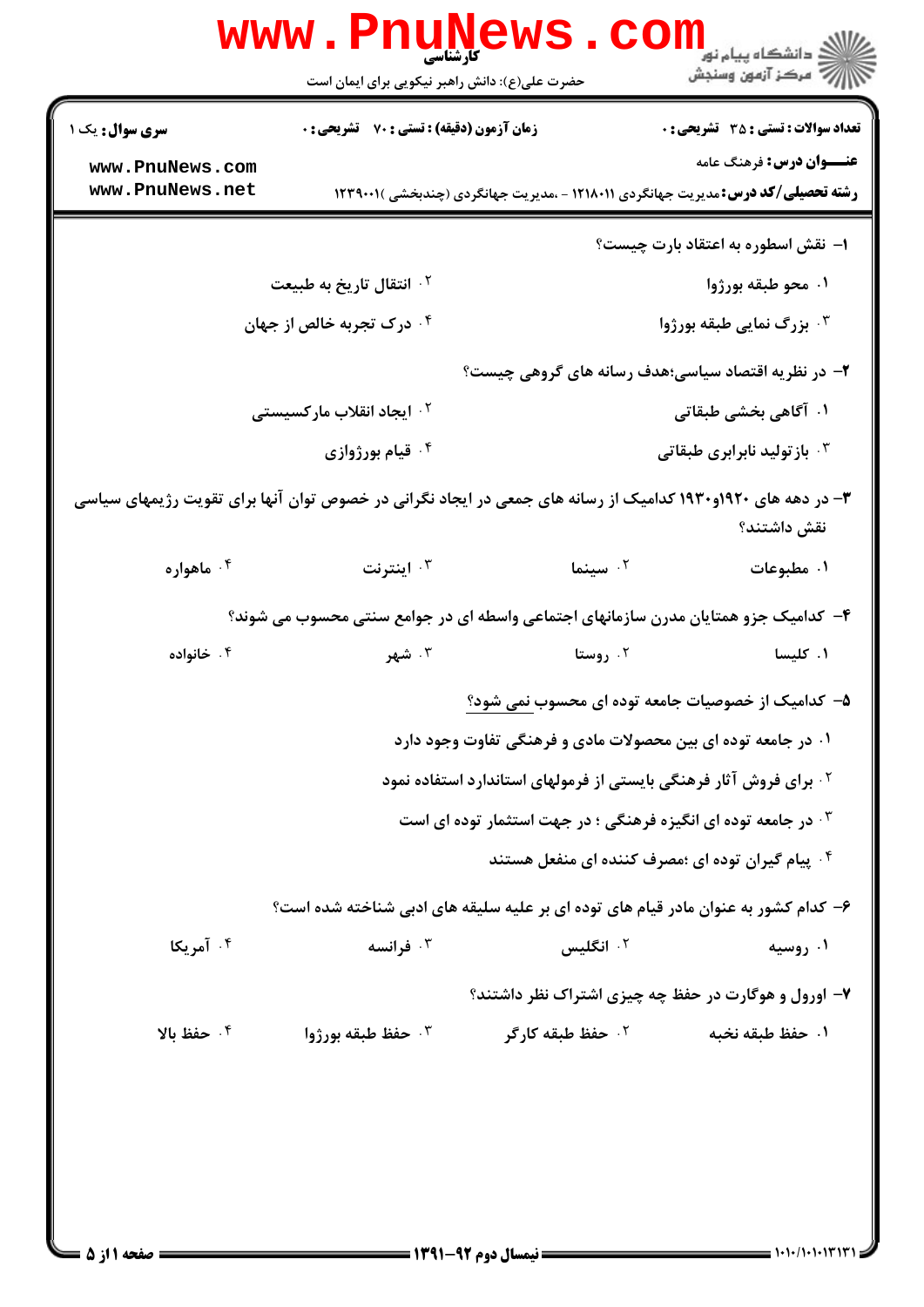|                                                                                                             | <b>www.Pnune</b><br>كأرشناسي<br>حضرت علی(ع): دانش راهبر نیکویی برای ایمان است |                                                                                          | دانشڪاه پيام نور "<br>  مرکز آزمون وسنڊش     |
|-------------------------------------------------------------------------------------------------------------|-------------------------------------------------------------------------------|------------------------------------------------------------------------------------------|----------------------------------------------|
| <b>سری سوال :</b> یک ۱                                                                                      | زمان آزمون (دقیقه) : تستی : 70 ٪ تشریحی : 0                                   |                                                                                          | <b>تعداد سوالات : تستی : 35 - تشریحی : 0</b> |
| www.PnuNews.com<br>www.PnuNews.net                                                                          |                                                                               | <b>رشته تحصیلی/کد درس:</b> مدیریت جهانگردی ۱۲۱۸۰۱۱ - ،مدیریت جهانگردی (چندبخشی )۲۳۹۰۰۱ ( | <b>عنـــوان درس:</b> فرهنگ عامه              |
|                                                                                                             |                                                                               |                                                                                          | ۱– نقش اسطوره به اعتقاد بارت چیست؟           |
|                                                                                                             | ۰۲ انتقال تاریخ به طبیعت                                                      |                                                                                          | ۰۱ محو طبقه بورژوا                           |
| ۰ <sup>۴</sup> درک تجربه خالص از جهان                                                                       |                                                                               |                                                                                          | ۰ <sup>۳</sup> بزرگ نمایی طبقه بورژوا        |
|                                                                                                             |                                                                               | ۲– در نظریه اقتصاد سیاسی؛هدف رسانه های گروهی چیست؟                                       |                                              |
| <sup>۲</sup> ۰ ایجاد انقلاب مارکسیستی                                                                       |                                                                               |                                                                                          | ۰۱ آگاهی بخشی طبقاتی                         |
|                                                                                                             | ۰۴ قیام بورژوازی                                                              |                                                                                          | ۰ <sup>۳</sup> بازتولید نابرابری طبقاتی      |
| ۳- در دهه های ۱۹۲۰و۱۹۳۰ کدامیک از رسانه های جمعی در ایجاد نگرانی در خصوص توان آنها برای تقویت رژیمهای سیاسی |                                                                               |                                                                                          | نقش داشتند؟                                  |
| ۰۴ ماهواره                                                                                                  | اينترنت $\cdot$                                                               | ۰۲ سینم <b>ا</b>                                                                         | ۰۱ مطبوعات                                   |
|                                                                                                             |                                                                               | ۴– کدامیک جزو همتایان مدرن سازمانهای اجتماعی واسطه ای در جوامع سنتی محسوب می شوند؟       |                                              |
| ۰۴ خانواده                                                                                                  | ۰۳ شهر                                                                        | ۰۲ روستا                                                                                 | ۰۱ کلیسا                                     |
|                                                                                                             |                                                                               | ۵– کدامیک از خصوصیات جامعه توده ای محسوب نمی شود؟                                        |                                              |
|                                                                                                             |                                                                               | ۰۱ در جامعه توده ای بین محصولات مادی و فرهنگی تفاوت وجود دارد                            |                                              |
| <sup>۲</sup> ۰ برای فروش آثار فرهنگی بایستی از فرمولهای استاندارد استفاده نمود                              |                                                                               |                                                                                          |                                              |
| در جامعه توده ای انگیزه فرهنگی ؛ در جهت استثمار توده ای است $\cdot$                                         |                                                                               |                                                                                          |                                              |
|                                                                                                             |                                                                               | <sup>۴</sup> . پیام گیران توده ای ؛مصرف کننده ای منفعل هستند                             |                                              |
|                                                                                                             |                                                                               | ۶– کدام کشور به عنوان مادر قیام های توده ای بر علیه سلیقه های ادبی شناخته شده است؟       |                                              |
| ۰۴ آمریکا                                                                                                   | ۰ <sup>۳</sup> فرانسه                                                         | ۰ <sup>۲</sup> انگلیس                                                                    | ۰۱ روسیه                                     |
|                                                                                                             |                                                                               | ۷- اورول و هوگارت در حفظ چه چیزی اشتراک نظر داشتند؟                                      |                                              |
| ۰۴ حفظ بالا                                                                                                 | طبقه بورژوا $\cdot$ ۳۰ حفظ طبقه بورژوا $\cdot$                                | ۰ <sup>۲</sup> حفظ طبقه کارگر                                                            | ٠١ حفظ طبقه نخبه                             |
|                                                                                                             |                                                                               |                                                                                          |                                              |
|                                                                                                             |                                                                               |                                                                                          |                                              |
|                                                                                                             |                                                                               |                                                                                          |                                              |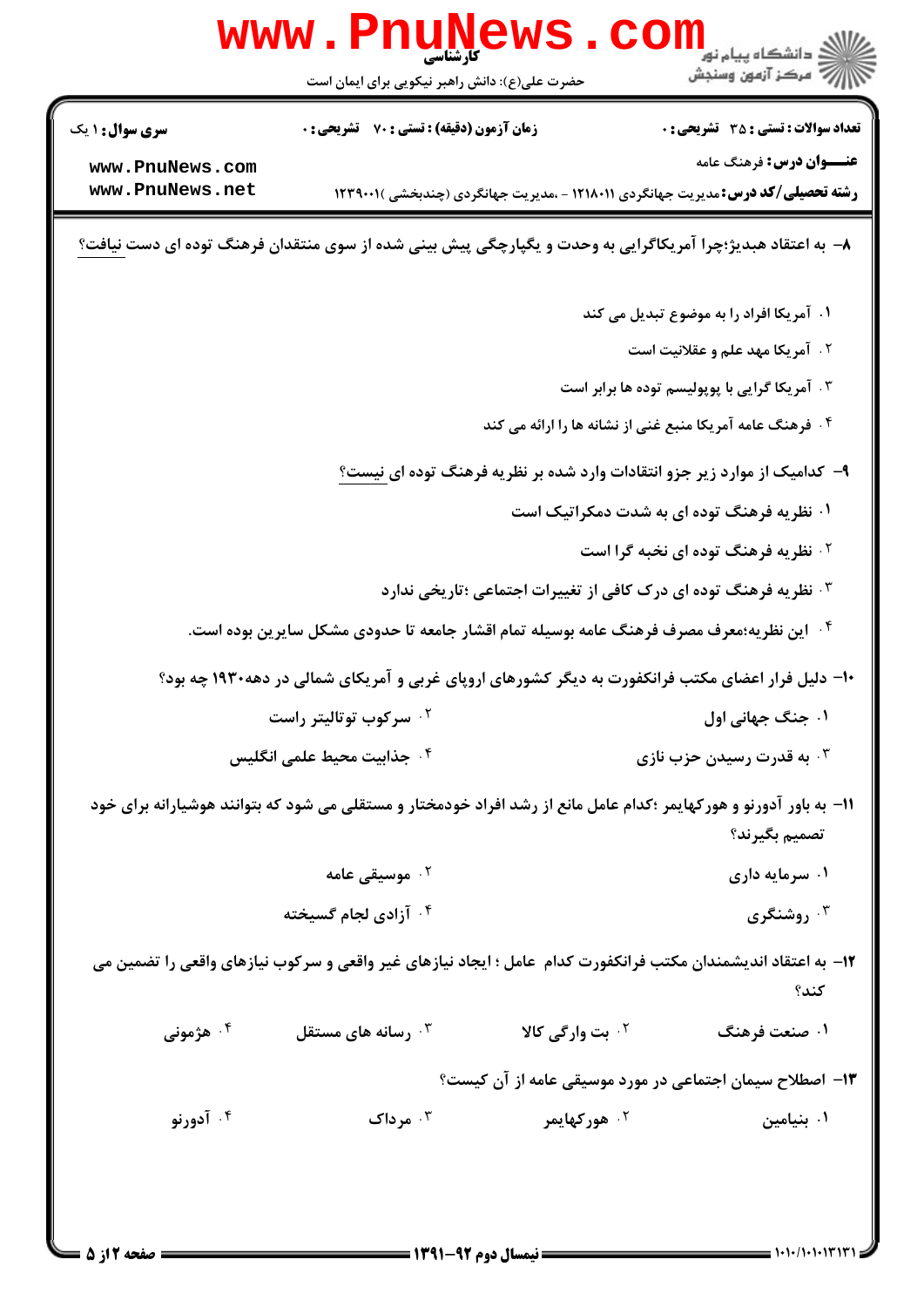|                                    | <b>www.PnuNews</b><br>حضرت علی(ع): دانش راهبر نیکویی برای ایمان است                                                |                                                                              | الا دانشگاه پیام نور<br>الا دانشگاه پیام نور<br>الاست                                                                       |
|------------------------------------|--------------------------------------------------------------------------------------------------------------------|------------------------------------------------------------------------------|-----------------------------------------------------------------------------------------------------------------------------|
| <b>سری سوال :</b> ۱ یک             | <b>زمان آزمون (دقیقه) : تستی : 70 قشریحی : 0</b>                                                                   |                                                                              | <b>تعداد سوالات : تستي : 35 ٪ تشریحي : 0</b>                                                                                |
| www.PnuNews.com<br>www.PnuNews.net |                                                                                                                    |                                                                              | <b>عنـــوان درس:</b> فرهنگ عامه<br><b>رشته تحصیلی/کد درس:</b> مدیریت جهانگردی ۱۲۱۸۰۱۱ - ،مدیریت جهانگردی (چندبخشی )۲۳۹۰۰۱ ۱ |
|                                    | ۸− به اعتقاد هبدیژ؛چرا آمریکاگرایی به وحدت و یگپارچگی پیش بینی شده از سوی منتقدان فرهنگ توده ای دست <u>نیافت</u> ؟ |                                                                              |                                                                                                                             |
|                                    |                                                                                                                    |                                                                              | ۰۱ آمریکا افراد را به موضوع تبدیل می کند                                                                                    |
|                                    |                                                                                                                    |                                                                              | <b>1. آمریکا مهد علم و عقلانیت است</b>                                                                                      |
|                                    | ۰۳ آمریکا گرایی با پوپولیسم توده ها برابر است                                                                      |                                                                              |                                                                                                                             |
|                                    |                                                                                                                    | ۰۴ فرهنگ عامه آمریکا منبع غنی از نشانه ها را ارائه می کند                    |                                                                                                                             |
|                                    |                                                                                                                    |                                                                              | ۹– کدامیک از موارد زیر جزو انتقادات وارد شده بر نظریه فرهنگ توده ای <u>نیست؟</u>                                            |
|                                    |                                                                                                                    |                                                                              | ۰۱ نظریه فرهنگ توده ای به شدت دمکراتیک است                                                                                  |
|                                    |                                                                                                                    |                                                                              | <b>گ نظریه فرهنگ توده ای نخبه گرا است</b>                                                                                   |
|                                    |                                                                                                                    | ۰ <sup>۳</sup> نظریه فرهنگ توده ای درک کافی از تغییرات اجتماعی ؛تاریخی ندارد |                                                                                                                             |
|                                    | <sup>۰۴</sup> این نظریه؛معرف مصرف فرهنگ عامه بوسیله تمام اقشار جامعه تا حدودی مشکل سایرین بوده است.                |                                                                              |                                                                                                                             |
|                                    | ۱۰- دلیل فرار اعضای مکتب فرانکفورت به دیگر کشورهای اروپای غربی و آمریکای شمالی در دهه۱۹۳۰ چه بود؟                  |                                                                              |                                                                                                                             |
|                                    | ۰ <sup>۲</sup> سرکوب توتالیتر راست                                                                                 |                                                                              | ۰۱ جنگ جهانی اول                                                                                                            |
|                                    | <sup>۴</sup> ۰ جذابیت محیط علمی انگلیس                                                                             |                                                                              | ۰ <sup>۳</sup> به قدرت رسیدن حزب نازی                                                                                       |
|                                    | 1۱– به باور آدورنو و هورکهایمر ؛کدام عامل مانع از رشد افراد خودمختار و مستقلی می شود که بتوانند هوشیارانه برای خود |                                                                              | تصميم بگيرند؟                                                                                                               |
|                                    | ۰ <sup>۲</sup> موسیقی عامه                                                                                         |                                                                              | ۰۱ سرمایه داری                                                                                                              |
|                                    | ۰۴ آزادی لجام گسیخته                                                                                               |                                                                              | روشنگری $\cdot^{\mathsf{y}}$                                                                                                |
|                                    | ۱۲– به اعتقاد اندیشمندان مکتب فرانکفورت کدام عامل ؛ ایجاد نیازهای غیر واقعی و سرکوب نیازهای واقعی را تضمین می      |                                                                              | كند؟                                                                                                                        |
| ۰۴ هژمونی                          | رسانه های مستقل $\cdot^{\mathtt{w}}$                                                                               | <sup>۲.</sup> بت وارگی کالا                                                  | ۱. صنعت فرهنگ                                                                                                               |
|                                    |                                                                                                                    |                                                                              | ۱۳– اصطلاح سیمان اجتماعی در مورد موسیقی عامه از آن کیست؟                                                                    |
| ۰۴ آدورنو                          | ۰۳ مرداک                                                                                                           | ۰ <sup>۲</sup> هورکهایمر                                                     | ۰۱ بنیامین                                                                                                                  |
|                                    |                                                                                                                    |                                                                              |                                                                                                                             |
|                                    |                                                                                                                    |                                                                              |                                                                                                                             |
| = صفحه 2 از 5 =                    |                                                                                                                    | <b>ــــــــــــــــ نیمسال دوم ۹۲-۱۳۹۱ ـــ</b>                               | = ۱۰۱۰/۱۰۱۰۱۳۱۳۱                                                                                                            |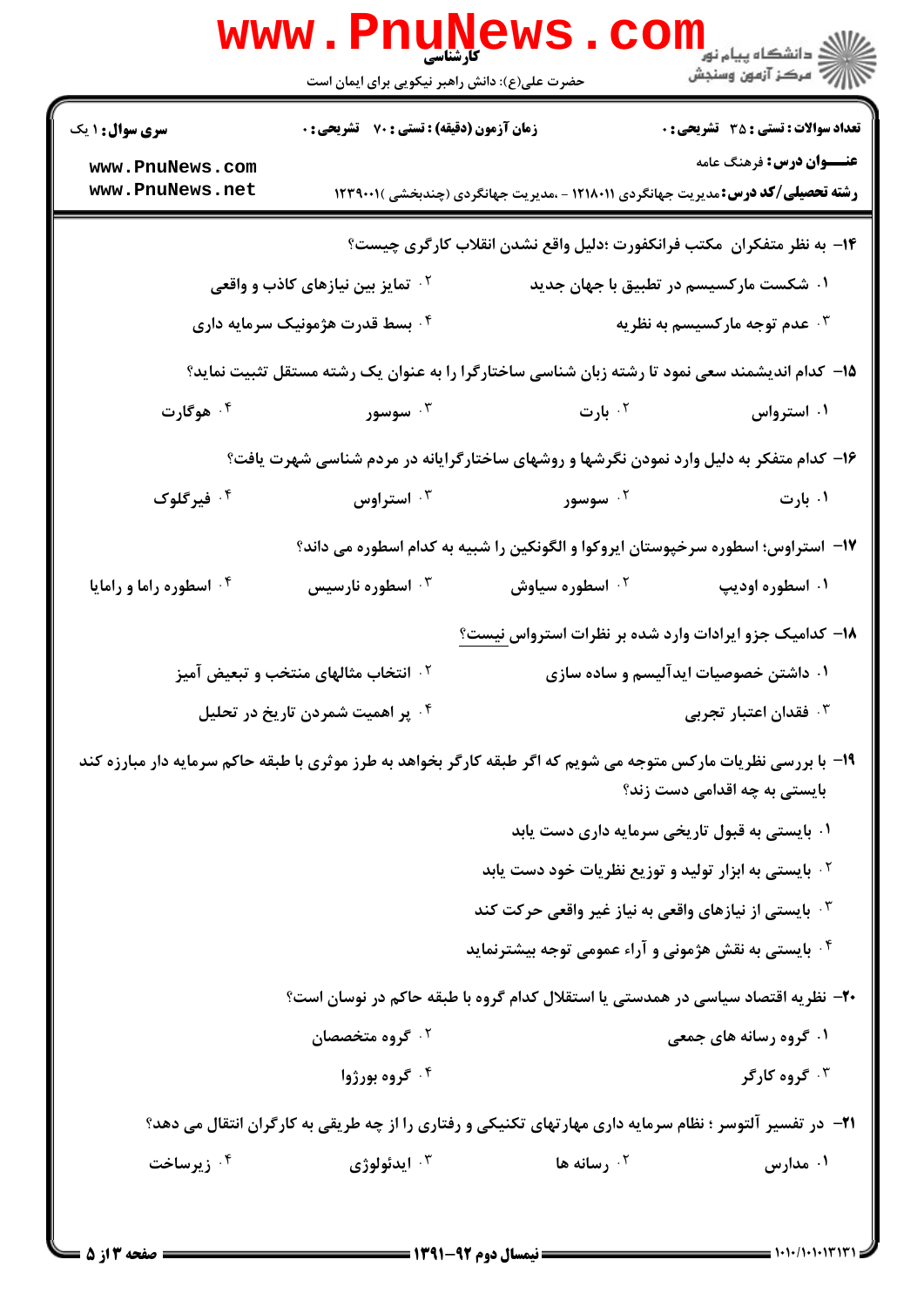|                                                                                                                  | <b>www.PnuNews</b><br>کارشناسی<br>حضرت علی(ع): دانش راهبر نیکویی برای ایمان است                                                                  |                                                                                                | الان دانشگاه پيام نور <mark>- -</mark><br>//// - مرکز آزمون وسنجش |
|------------------------------------------------------------------------------------------------------------------|--------------------------------------------------------------------------------------------------------------------------------------------------|------------------------------------------------------------------------------------------------|-------------------------------------------------------------------|
| سری سوال: ۱ یک                                                                                                   | زمان آزمون (دقیقه) : تستی : 70 قشریحی : 0                                                                                                        |                                                                                                | <b>تعداد سوالات : تستی : 35 تشریحی : 0</b>                        |
| www.PnuNews.com<br>www.PnuNews.net                                                                               |                                                                                                                                                  | <b>رشته تحصیلی/کد درس:</b> مدیریت جهانگردی ۱۲۱۸۰۱۱ - ،مدیریت جهانگردی (چندبخشی )۲۳۹۰۰۱ (       | <b>عنـــوان درس:</b> فرهنگ عامه                                   |
|                                                                                                                  |                                                                                                                                                  | ۱۴– به نظر متفکران ًمکتب فرانکفورت ؛دلیل واقع نشدن انقلاب کارگری چیست؟                         |                                                                   |
|                                                                                                                  | <sup>۲ .</sup> تمایز بین نیازهای کاذب و واقعی<br>۰۱ شکست مارکسیسم در تطبیق با جهان جدید                                                          |                                                                                                |                                                                   |
|                                                                                                                  | ۰۴ بسط قدرت هژمونیک سرمایه داری                                                                                                                  | ۰۳ عدم توجه مارکسیسم به نظریه                                                                  |                                                                   |
|                                                                                                                  |                                                                                                                                                  | ۱۵– کدام اندیشمند سعی نمود تا رشته زبان شناسی ساختارگرا را به عنوان یک رشته مستقل تثبیت نماید؟ |                                                                   |
| ۰۴ هوگارت                                                                                                        | ۰۳ سوسور                                                                                                                                         | ۰ <sup>۲</sup> بارت                                                                            | ۰۱ استرواس                                                        |
|                                                                                                                  |                                                                                                                                                  | ۱۶- کدام متفکر به دلیل وارد نمودن نگرشها و روشهای ساختارگرایانه در مردم شناسی شهرت یافت؟       |                                                                   |
| ۰ <sup>۴</sup> فیرگلوک                                                                                           | استراوس '' $\cdot$                                                                                                                               | ۰ <sup>۲</sup> سوسور                                                                           | ۰۱ بارت                                                           |
|                                                                                                                  |                                                                                                                                                  | ۱۷– استراوس؛ اسطوره سرخپوستان ایروکوا و الگونکین را شبیه به کدام اسطوره می داند؟               |                                                                   |
| ۰۴ اسطوره راما و رامایا                                                                                          | اسطوره نارسیس $\cdot$ ۳                                                                                                                          | ۰ <sup>۲</sup> اسطوره سیاوش                                                                    | ۰۱ اسطوره اودیپ                                                   |
|                                                                                                                  |                                                                                                                                                  | ۱۸– کدامیک جزو ایرادات وارد شده بر نظرات استرواس <u>نیست؟</u>                                  |                                                                   |
|                                                                                                                  | <sup>۲</sup> ۰ انتخاب مثالهای منتخب و تبعیض آمیز                                                                                                 |                                                                                                | ۰۱ داشتن خصوصیات ایدآلیسم و ساده سازی                             |
|                                                                                                                  | ۰۴ پر اهمیت شمردن تاریخ در تحلیل                                                                                                                 | ن فقدان اعتبار تجربی $\cdot$                                                                   |                                                                   |
|                                                                                                                  | ۱۹- با بررسی نظریات مارکس متوجه می شویم که اگر طبقه کارگر بخواهد به طرز موثری با طبقه حاکم سرمایه دار مبارزه کند<br>بایستی به چه اقدامی دست زند؟ |                                                                                                |                                                                   |
|                                                                                                                  |                                                                                                                                                  | ۰۱ بایستی به قبول تاریخی سرمایه داری دست یابد                                                  |                                                                   |
|                                                                                                                  |                                                                                                                                                  | <sup>۰۲</sup> بایستی به ابزار تولید و توزیع نظریات خود دست یابد                                |                                                                   |
|                                                                                                                  |                                                                                                                                                  | بایستی از نیازهای واقعی به نیاز غیر واقعی حرکت کند $\cdot$                                     |                                                                   |
|                                                                                                                  |                                                                                                                                                  | ۰۴ بایستی به نقش هژمونی و آراء عمومی توجه بیشترنماید                                           |                                                                   |
|                                                                                                                  |                                                                                                                                                  | ۲۰– نظریه اقتصاد سیاسی در همدستی یا استقلال کدام گروه با طبقه حاکم در نوسان است؟               |                                                                   |
|                                                                                                                  | ۰ <sup>۲</sup> گروه متخصصان                                                                                                                      |                                                                                                | <b>۱. گروه رسانه های جمعی</b>                                     |
|                                                                                                                  | ۰۴ گروه بورژوا                                                                                                                                   |                                                                                                | ۰ <sup>۳</sup> گروه کارگر                                         |
| <b>۲۱</b> - در تفسیر آلتوسر ؛ نظام سرمایه داری مهارتهای تکنیکی و رفتاری را از چه طریقی به کارگران انتقال می دهد؟ |                                                                                                                                                  |                                                                                                |                                                                   |
| ۰۴ زیرساخت                                                                                                       | ايدئولوژي $\cdot$                                                                                                                                | ۰۲ رسانه ها                                                                                    | ۰۱ مدارس                                                          |
|                                                                                                                  |                                                                                                                                                  |                                                                                                |                                                                   |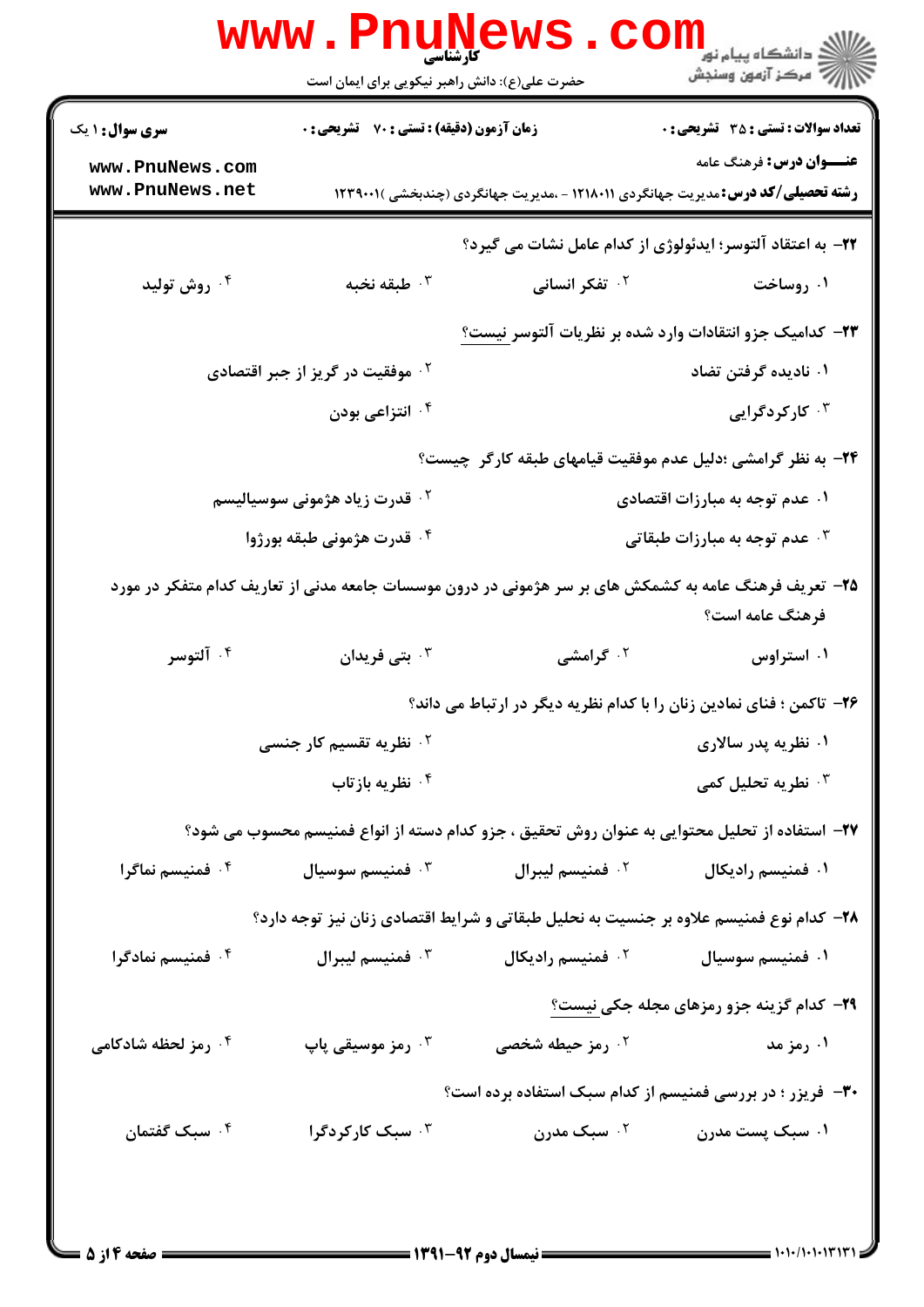|                                                             | <b>www.PnuNews</b><br><b>کارشناسی</b><br>حضرت علی(ع): دانش راهبر نیکویی برای ایمان است |                               | ر دانشگاه پيام نور <mark>−</mark><br>ار∕* مرکز آزمون وسنجش                                                                |
|-------------------------------------------------------------|----------------------------------------------------------------------------------------|-------------------------------|---------------------------------------------------------------------------------------------------------------------------|
| <b>سری سوال : ۱ یک</b>                                      | <b>زمان آزمون (دقیقه) : تستی : 70 گشریحی : 0</b>                                       |                               | <b>تعداد سوالات : تستی : 35 - تشریحی : 0</b>                                                                              |
| www.PnuNews.com<br>www.PnuNews.net                          |                                                                                        |                               | <b>عنـــوان درس:</b> فرهنگ عامه<br><b>رشته تحصیلی/کد درس:</b> مدیریت جهانگردی ۱۲۱۸۰۱۱ - ،مدیریت جهانگردی (چندبخشی )۲۳۹۰۰۱ |
|                                                             |                                                                                        |                               | <b>۲۲</b> – به اعتقاد آلتوسر؛ ایدئولوژی از کدام عامل نشات می گیرد؟                                                        |
| ۰۴ روش تولید                                                | ۰۳ طبقه نخبه                                                                           | <b>۲. تفکر انسانی</b>         | ۰۱ روساخت                                                                                                                 |
|                                                             |                                                                                        |                               | ۲۳– کدامیک جزو انتقادات وارد شده بر نظریات آلتوسر نیست؟                                                                   |
|                                                             | ۰ <sup>۲</sup> موفقیت در گریز از جبر اقتصادی                                           |                               | ۰۱ نادیده گرفتن تضاد                                                                                                      |
|                                                             | ۰۴ انتزاعی بودن                                                                        |                               | ۰ <sup>۳</sup> کارگردگرایی                                                                                                |
| ۲۴- به نظر گرامشی ؛دلیل عدم موفقیت قیامهای طبقه کارگر چیست؟ |                                                                                        |                               |                                                                                                                           |
|                                                             | <sup>۲ .</sup> قدرت زیاد هژمونی سوسیالیسم                                              |                               | ۰۱ عدم توجه به مبارزات اقتصادی                                                                                            |
|                                                             | ۰۴ قدرت هژمونی طبقه بورژوا                                                             |                               | ه عدم توجه به مبارزات طبقاتی $\cdot$                                                                                      |
|                                                             |                                                                                        |                               | ۲۵– تعریف فرهنگ عامه به کشمکش های بر سر هژمونی در درون موسسات جامعه مدنی از تعاریف کدام متفکر در مورد<br>فرهنگ عامه است؟  |
| ۰۴ آلتوسر                                                   | ۰ <sup>۳</sup> بتی فریدان                                                              | <sup>۲.</sup> گرامشی          | ۰۱ استراوس                                                                                                                |
|                                                             |                                                                                        |                               | ۲۶– تاکمن ؛ فنای نمادین زنان را با کدام نظریه دیگر در ارتباط می داند؟                                                     |
|                                                             | <sup>۲</sup> ۰ نظریه تقسیم کار جنسی                                                    |                               | ۰۱ نظریه پدر سالاری                                                                                                       |
|                                                             | ۰۴ نظریه بازتاب                                                                        |                               | نطريه تحليل كمى $\cdot^{\mathsf{y}}$                                                                                      |
|                                                             |                                                                                        |                               | ٢٧- استفاده از تحلیل محتوایی به عنوان روش تحقیق ، جزو کدام دسته از انواع فمنیسم محسوب می شود؟                             |
| ۰۴ فمنیسم نماگرا                                            | فمنيسم سوسيال $\cdot$ "                                                                | <sup>٢</sup> ٠ فمنيسم ليبرال  | ۰۱ فمنیسم رادیکال                                                                                                         |
|                                                             |                                                                                        |                               | ۲۸- کدام نوع فمنیسم علاوه بر جنسیت به نحلیل طبقاتی و شرایط اقتصادی زنان نیز توجه دارد؟                                    |
| ۰۴ فمنیسم نمادگرا                                           | فمنيسم ليبرال $\cdot^{\texttt{v}}$                                                     | ۰ <sup>۲</sup> فمنیسم رادیکال | ۰۱ فمنيسم سوسيال                                                                                                          |
|                                                             |                                                                                        |                               | <b>۲۹</b> - کدام گزینه جزو رمزهای مجله جکی نیست؟                                                                          |
| ۰۴ رمز لحظه شادکامی                                         | ۰ <sup>۳</sup> رمز موسیقی پاپ                                                          | ۰۲ رمز حیطه شخصی              | ۰۱ رمز مد                                                                                                                 |
|                                                             |                                                                                        |                               | <b>۳۰</b> - فریزر ؛ در بررسی فمنیسم از کدام سبک استفاده برده است؟                                                         |
| ۰۴ سبک گفتمان                                               | ۰ <sup>۳</sup> سبک کارکردگرا                                                           | ۰ <sup>۲</sup> سبک مدرن       | ۰۱ سبک پست مدرن                                                                                                           |
|                                                             |                                                                                        |                               |                                                                                                                           |
|                                                             |                                                                                        |                               |                                                                                                                           |

 $= 1.1 - (1 - 1.171)$